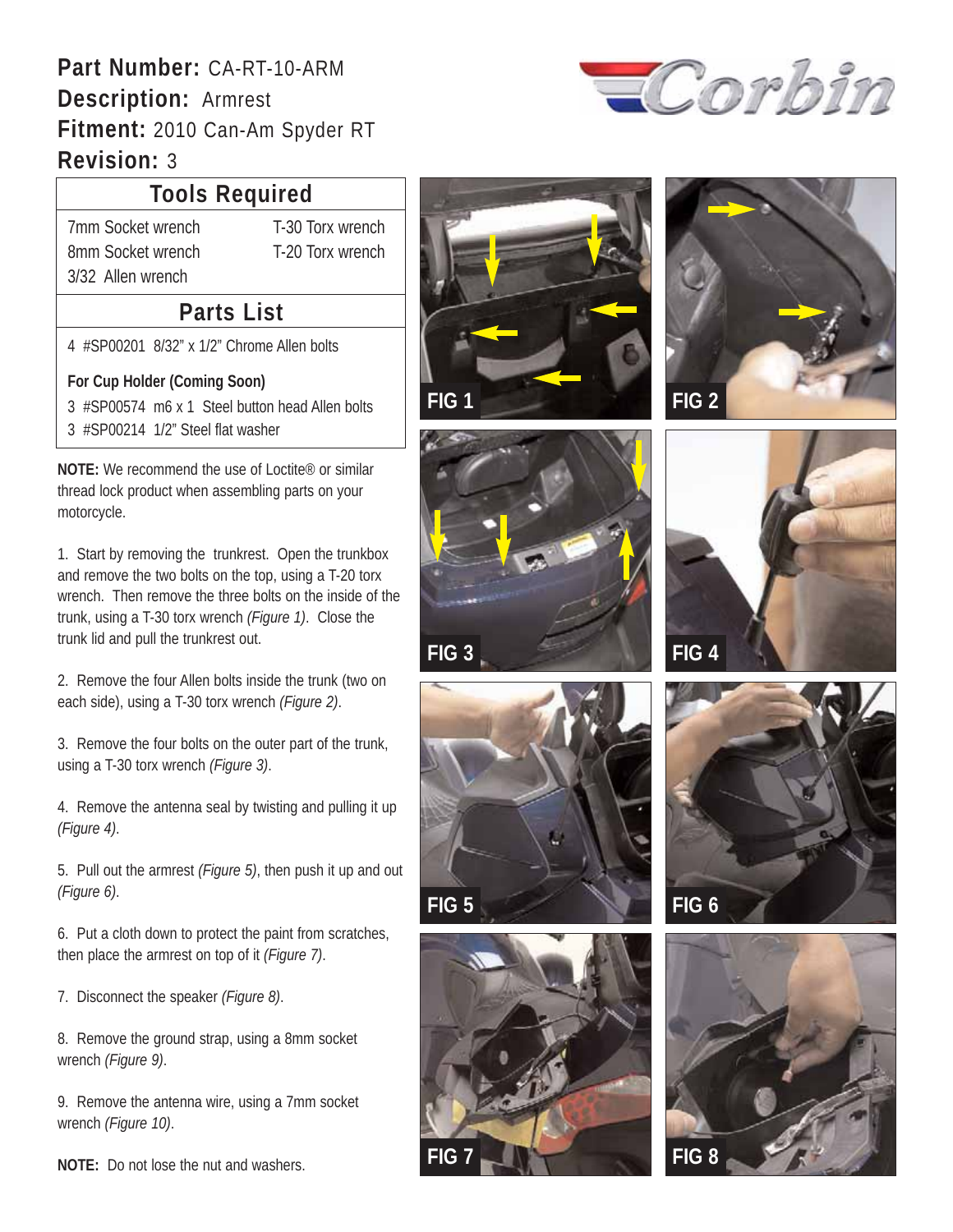### **Part Number:** CA-RT-10-ARM **Description:** Armrest **Fitment:** 2010 Can-Am Spyder RT **Revision:** 3

# Corbin

### **Tools Required**

7mm Socket wrench T-30 Torx wrench 8mm Socket wrench T-20 Torx wrench 3/32 Allen wrench

#### **Parts List**

4 #SP00201 8/32" x 1/2" Chrome Allen bolts

#### **For Cup Holder (Coming Soon)**

3 #SP00574 m6 x 1 Steel button head Allen bolts 3 #SP00214 1/2" Steel flat washer

**NOTE:** We recommend the use of Loctite® or similar thread lock product when assembling parts on your motorcycle.

1. Start by removing the trunkrest. Open the trunkbox and remove the two bolts on the top, using a T-20 torx wrench. Then remove the three bolts on the inside of the trunk, using a T-30 torx wrench *(Figure 1)*. Close the trunk lid and pull the trunkrest out.

2. Remove the four Allen bolts inside the trunk (two on each side), using a T-30 torx wrench *(Figure 2)*.

3. Remove the four bolts on the outer part of the trunk, using a T-30 torx wrench *(Figure 3)*.

4. Remove the antenna seal by twisting and pulling it up *(Figure 4)*.

5. Pull out the armrest *(Figure 5)*, then push it up and out *(Figure 6)*.

6. Put a cloth down to protect the paint from scratches, then place the armrest on top of it *(Figure 7)*.

7. Disconnect the speaker *(Figure 8)*.

8. Remove the ground strap, using a 8mm socket wrench *(Figure 9)*.

9. Remove the antenna wire, using a 7mm socket wrench *(Figure 10)*.















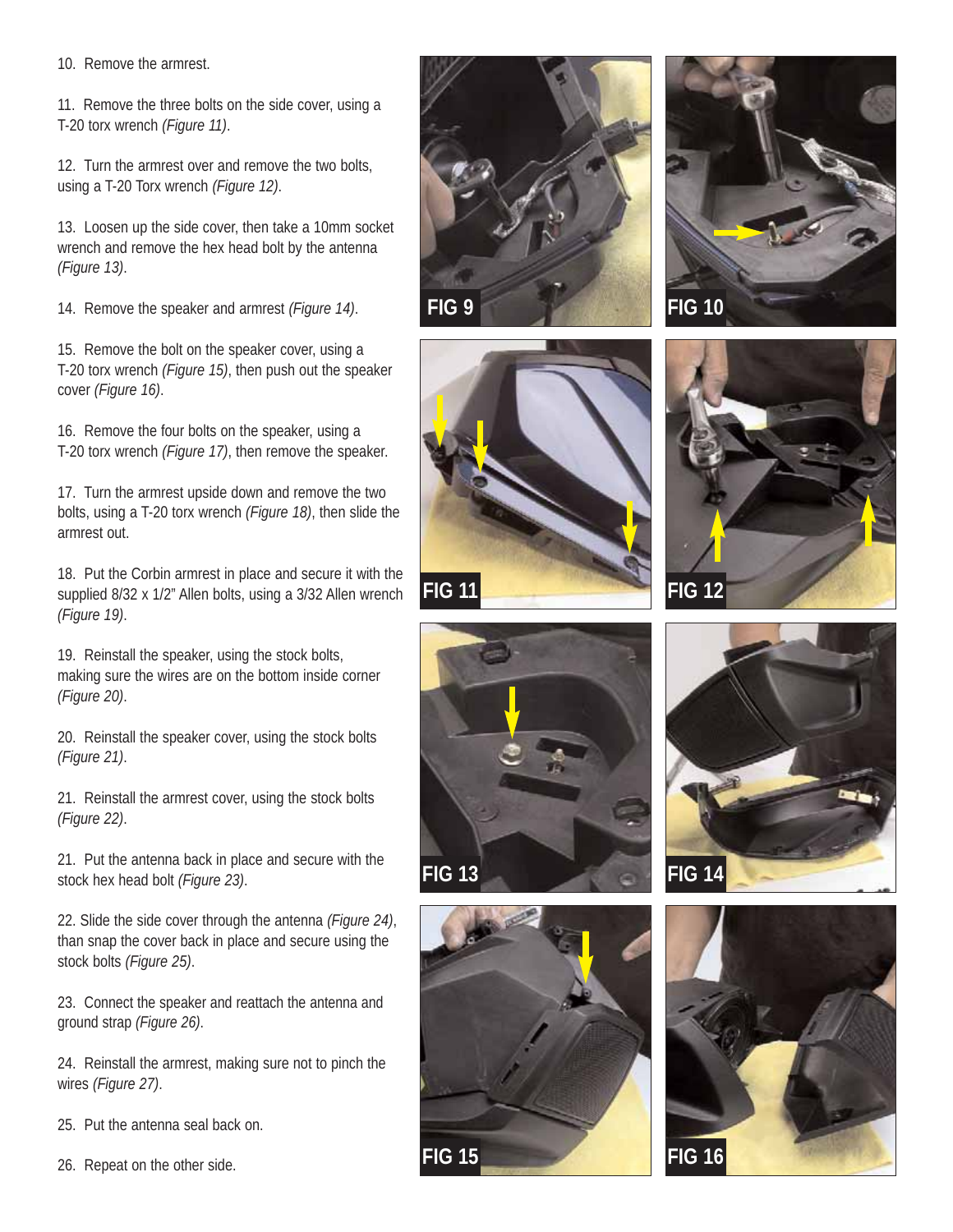10. Remove the armrest.

11. Remove the three bolts on the side cover, using a T-20 torx wrench *(Figure 11)*.

12. Turn the armrest over and remove the two bolts, using a T-20 Torx wrench *(Figure 12)*.

13. Loosen up the side cover, then take a 10mm socket wrench and remove the hex head bolt by the antenna *(Figure 13)*.

14. Remove the speaker and armrest *(Figure 14)*.

15. Remove the bolt on the speaker cover, using a T-20 torx wrench *(Figure 15)*, then push out the speaker cover *(Figure 16)*.

16. Remove the four bolts on the speaker, using a T-20 torx wrench *(Figure 17)*, then remove the speaker.

17. Turn the armrest upside down and remove the two bolts, using a T-20 torx wrench *(Figure 18)*, then slide the armrest out.

18. Put the Corbin armrest in place and secure it with the supplied 8/32 x 1/2" Allen bolts, using a 3/32 Allen wrench *(Figure 19)*.

19. Reinstall the speaker, using the stock bolts, making sure the wires are on the bottom inside corner *(Figure 20)*.

20. Reinstall the speaker cover, using the stock bolts *(Figure 21)*.

21. Reinstall the armrest cover, using the stock bolts *(Figure 22)*.

21. Put the antenna back in place and secure with the stock hex head bolt *(Figure 23)*.

22. Slide the side cover through the antenna *(Figure 24)*, than snap the cover back in place and secure using the stock bolts *(Figure 25)*.

23. Connect the speaker and reattach the antenna and ground strap *(Figure 26)*.

24. Reinstall the armrest, making sure not to pinch the wires *(Figure 27)*.

25. Put the antenna seal back on.

26. Repeat on the other side.